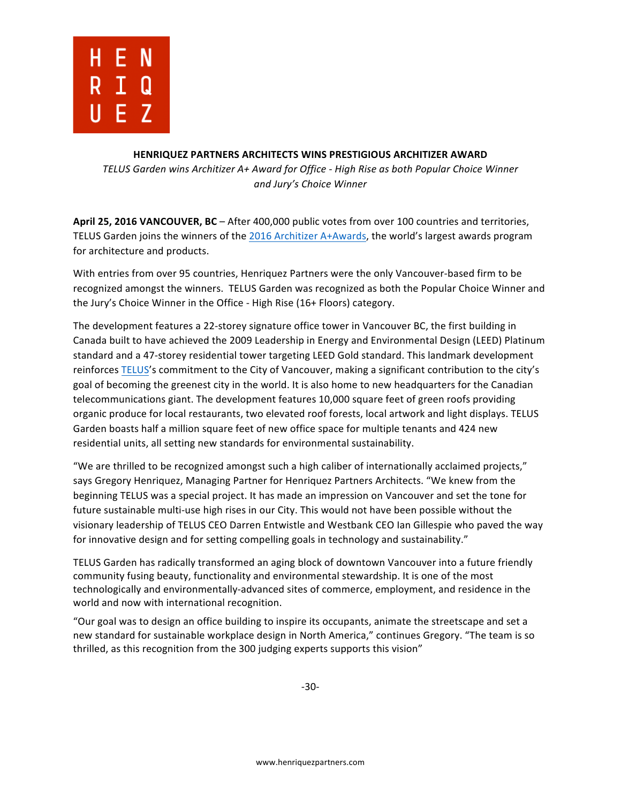

## **HENRIQUEZ PARTNERS ARCHITECTS WINS PRESTIGIOUS ARCHITIZER AWARD**

*TELUS Garden wins Architizer A+ Award for Office - High Rise as both Popular Choice Winner and Jury's Choice Winner*

April 25, 2016 VANCOUVER, BC – After 400,000 public votes from over 100 countries and territories, TELUS Garden joins the winners of the 2016 Architizer A+Awards, the world's largest awards program for architecture and products.

With entries from over 95 countries, Henriquez Partners were the only Vancouver-based firm to be recognized amongst the winners. TELUS Garden was recognized as both the Popular Choice Winner and the Jury's Choice Winner in the Office - High Rise (16+ Floors) category.

The development features a 22-storey signature office tower in Vancouver BC, the first building in Canada built to have achieved the 2009 Leadership in Energy and Environmental Design (LEED) Platinum standard and a 47-storey residential tower targeting LEED Gold standard. This landmark development reinforces TELUS's commitment to the City of Vancouver, making a significant contribution to the city's goal of becoming the greenest city in the world. It is also home to new headquarters for the Canadian telecommunications giant. The development features 10,000 square feet of green roofs providing organic produce for local restaurants, two elevated roof forests, local artwork and light displays. TELUS Garden boasts half a million square feet of new office space for multiple tenants and 424 new residential units, all setting new standards for environmental sustainability.

"We are thrilled to be recognized amongst such a high caliber of internationally acclaimed projects," says Gregory Henriquez, Managing Partner for Henriquez Partners Architects. "We knew from the beginning TELUS was a special project. It has made an impression on Vancouver and set the tone for future sustainable multi-use high rises in our City. This would not have been possible without the visionary leadership of TELUS CEO Darren Entwistle and Westbank CEO Ian Gillespie who paved the way for innovative design and for setting compelling goals in technology and sustainability."

TELUS Garden has radically transformed an aging block of downtown Vancouver into a future friendly community fusing beauty, functionality and environmental stewardship. It is one of the most technologically and environmentally-advanced sites of commerce, employment, and residence in the world and now with international recognition.

"Our goal was to design an office building to inspire its occupants, animate the streetscape and set a new standard for sustainable workplace design in North America," continues Gregory. "The team is so thrilled, as this recognition from the 300 judging experts supports this vision"

-30-